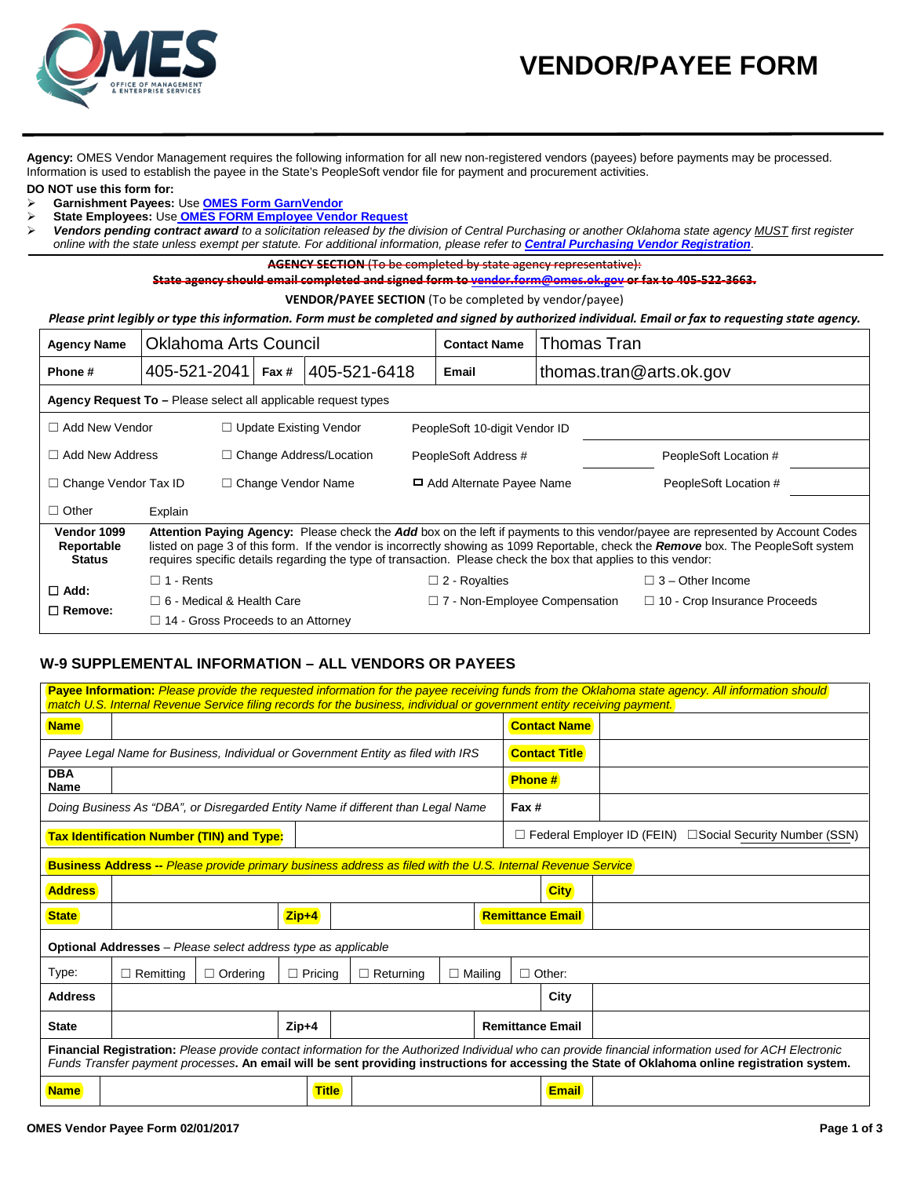

**Agency:** OMES Vendor Management requires the following information for all new non-registered vendors (payees) before payments may be processed. Information is used to establish the payee in the State's PeopleSoft vendor file for payment and procurement activities.

**DO NOT use this form for:**

- **Garnishment Payees:** Use **[OMES Form GarnVendor](http://www.ok.gov/OSF/documents/OMESFormGarnVendor.pdf)**
- **State Employees:** Use **OMES FORM [Employee Vendor Request](http://www.ok.gov/OSF/documents/OMESFormEmployeeVendorRequest.pdf)**
- *Vendors pending contract award to a solicitation released by the division of Central Purchasing or another Oklahoma state agency MUST first register online with the state unless exempt per statute. For additional information, please refer to [Central Purchasing Vendor Registration](http://www.ok.gov/DCS/Central_Purchasing/Vendor_Registration/index.html)*.

**AGENCY SECTION** (To be completed by state agency representative):

**State agency should email completed and signed form t[o vendor.form@omes.ok.gov](mailto:vendor.form@omes.ok.gov) or fax to 405-522-3663.**

**VENDOR/PAYEE SECTION** (To be completed by vendor/payee)

## *Please print legibly or type this information. Form must be completed and signed by authorized individual. Email or fax to requesting state agency.*

| <b>Agency Name</b>                                                                                                                                                                                                                                                                                                                                                                                                                     | <b>Oklahoma Arts Council</b>              |                                |  | <b>Contact Name</b>                  | Thomas Tran             |                                     |  |  |
|----------------------------------------------------------------------------------------------------------------------------------------------------------------------------------------------------------------------------------------------------------------------------------------------------------------------------------------------------------------------------------------------------------------------------------------|-------------------------------------------|--------------------------------|--|--------------------------------------|-------------------------|-------------------------------------|--|--|
| Phone#                                                                                                                                                                                                                                                                                                                                                                                                                                 | 405-521-2041                              | 405-521-6418<br>Fax #          |  | Email                                | thomas.tran@arts.ok.gov |                                     |  |  |
| Agency Request To - Please select all applicable request types                                                                                                                                                                                                                                                                                                                                                                         |                                           |                                |  |                                      |                         |                                     |  |  |
| $\Box$ Add New Vendor                                                                                                                                                                                                                                                                                                                                                                                                                  |                                           | $\Box$ Update Existing Vendor  |  | PeopleSoft 10-digit Vendor ID        |                         |                                     |  |  |
| $\Box$ Add New Address                                                                                                                                                                                                                                                                                                                                                                                                                 |                                           | $\Box$ Change Address/Location |  | PeopleSoft Address #                 |                         | PeopleSoft Location #               |  |  |
| $\Box$ Change Vendor Tax ID                                                                                                                                                                                                                                                                                                                                                                                                            |                                           | $\Box$ Change Vendor Name      |  | Add Alternate Payee Name             |                         | PeopleSoft Location #               |  |  |
| $\Box$ Other                                                                                                                                                                                                                                                                                                                                                                                                                           | Explain                                   |                                |  |                                      |                         |                                     |  |  |
| Vendor 1099<br>Attention Paying Agency: Please check the Add box on the left if payments to this vendor/payee are represented by Account Codes<br>listed on page 3 of this form. If the vendor is incorrectly showing as 1099 Reportable, check the Remove box. The PeopleSoft system<br>Reportable<br><b>Status</b><br>requires specific details regarding the type of transaction. Please check the box that applies to this vendor: |                                           |                                |  |                                      |                         |                                     |  |  |
| $\Box$ Add:                                                                                                                                                                                                                                                                                                                                                                                                                            | $\Box$ 1 - Rents                          |                                |  | $\Box$ 2 - Royalties                 |                         | $\Box$ 3 – Other Income             |  |  |
|                                                                                                                                                                                                                                                                                                                                                                                                                                        | $\Box$ 6 - Medical & Health Care          |                                |  | $\Box$ 7 - Non-Employee Compensation |                         | $\Box$ 10 - Crop Insurance Proceeds |  |  |
| $\Box$ Remove:                                                                                                                                                                                                                                                                                                                                                                                                                         | $\Box$ 14 - Gross Proceeds to an Attorney |                                |  |                                      |                         |                                     |  |  |

## **W-9 SUPPLEMENTAL INFORMATION – ALL VENDORS OR PAYEES**

| Payee Information: Please provide the requested information for the payee receiving funds from the Oklahoma state agency. All information should<br>match U.S. Internal Revenue Service filing records for the business, individual or government entity receiving payment.                              |                                                  |                 |                |                  |                |               |                                                                     |  |  |
|----------------------------------------------------------------------------------------------------------------------------------------------------------------------------------------------------------------------------------------------------------------------------------------------------------|--------------------------------------------------|-----------------|----------------|------------------|----------------|---------------|---------------------------------------------------------------------|--|--|
| <b>Name</b>                                                                                                                                                                                                                                                                                              |                                                  |                 |                |                  |                |               | <b>Contact Name</b>                                                 |  |  |
| Payee Legal Name for Business, Individual or Government Entity as filed with IRS                                                                                                                                                                                                                         |                                                  |                 |                |                  |                |               | <b>Contact Title</b>                                                |  |  |
| <b>DBA</b><br>Name                                                                                                                                                                                                                                                                                       |                                                  |                 |                |                  |                | <b>Phone#</b> |                                                                     |  |  |
| Doing Business As "DBA", or Disregarded Entity Name if different than Legal Name                                                                                                                                                                                                                         |                                                  |                 |                |                  |                | Fax #         |                                                                     |  |  |
|                                                                                                                                                                                                                                                                                                          | <b>Tax Identification Number (TIN) and Type:</b> |                 |                |                  |                |               | $\Box$ Federal Employer ID (FEIN)<br>□ Social Security Number (SSN) |  |  |
| <b>Business Address --</b> Please provide primary business address as filed with the U.S. Internal Revenue Service                                                                                                                                                                                       |                                                  |                 |                |                  |                |               |                                                                     |  |  |
| <b>Address</b>                                                                                                                                                                                                                                                                                           | <b>City</b>                                      |                 |                |                  |                |               |                                                                     |  |  |
| <b>State</b>                                                                                                                                                                                                                                                                                             |                                                  |                 | $Zip+4$        |                  |                |               | <b>Remittance Email</b>                                             |  |  |
| <b>Optional Addresses</b> – Please select address type as applicable                                                                                                                                                                                                                                     |                                                  |                 |                |                  |                |               |                                                                     |  |  |
| Type:                                                                                                                                                                                                                                                                                                    | $\Box$ Remitting                                 | $\Box$ Ordering | $\Box$ Pricing | $\Box$ Returning | $\Box$ Mailing |               | $\Box$ Other:                                                       |  |  |
| <b>Address</b>                                                                                                                                                                                                                                                                                           | City                                             |                 |                |                  |                |               |                                                                     |  |  |
| <b>State</b>                                                                                                                                                                                                                                                                                             |                                                  |                 | $Zip+4$        |                  |                |               | <b>Remittance Email</b>                                             |  |  |
| Financial Registration: Please provide contact information for the Authorized Individual who can provide financial information used for ACH Electronic<br>Funds Transfer payment processes. An email will be sent providing instructions for accessing the State of Oklahoma online registration system. |                                                  |                 |                |                  |                |               |                                                                     |  |  |
| <b>Name</b>                                                                                                                                                                                                                                                                                              |                                                  |                 | <b>Title</b>   |                  |                |               | <b>Email</b>                                                        |  |  |